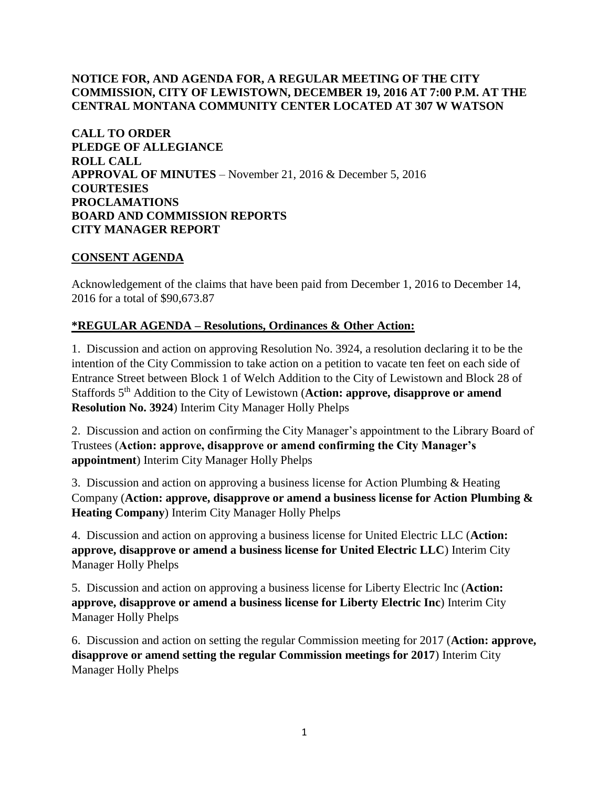# **NOTICE FOR, AND AGENDA FOR, A REGULAR MEETING OF THE CITY COMMISSION, CITY OF LEWISTOWN, DECEMBER 19, 2016 AT 7:00 P.M. AT THE CENTRAL MONTANA COMMUNITY CENTER LOCATED AT 307 W WATSON**

**CALL TO ORDER PLEDGE OF ALLEGIANCE ROLL CALL APPROVAL OF MINUTES** – November 21, 2016 & December 5, 2016 **COURTESIES PROCLAMATIONS BOARD AND COMMISSION REPORTS CITY MANAGER REPORT** 

### **CONSENT AGENDA**

Acknowledgement of the claims that have been paid from December 1, 2016 to December 14, 2016 for a total of \$90,673.87

# **\*REGULAR AGENDA – Resolutions, Ordinances & Other Action:**

1. Discussion and action on approving Resolution No. 3924, a resolution declaring it to be the intention of the City Commission to take action on a petition to vacate ten feet on each side of Entrance Street between Block 1 of Welch Addition to the City of Lewistown and Block 28 of Staffords 5<sup>th</sup> Addition to the City of Lewistown (**Action: approve, disapprove or amend Resolution No. 3924**) Interim City Manager Holly Phelps

2. Discussion and action on confirming the City Manager's appointment to the Library Board of Trustees (**Action: approve, disapprove or amend confirming the City Manager's appointment**) Interim City Manager Holly Phelps

3. Discussion and action on approving a business license for Action Plumbing & Heating Company (**Action: approve, disapprove or amend a business license for Action Plumbing & Heating Company**) Interim City Manager Holly Phelps

4. Discussion and action on approving a business license for United Electric LLC (**Action: approve, disapprove or amend a business license for United Electric LLC**) Interim City Manager Holly Phelps

5. Discussion and action on approving a business license for Liberty Electric Inc (**Action: approve, disapprove or amend a business license for Liberty Electric Inc**) Interim City Manager Holly Phelps

6. Discussion and action on setting the regular Commission meeting for 2017 (**Action: approve, disapprove or amend setting the regular Commission meetings for 2017**) Interim City Manager Holly Phelps